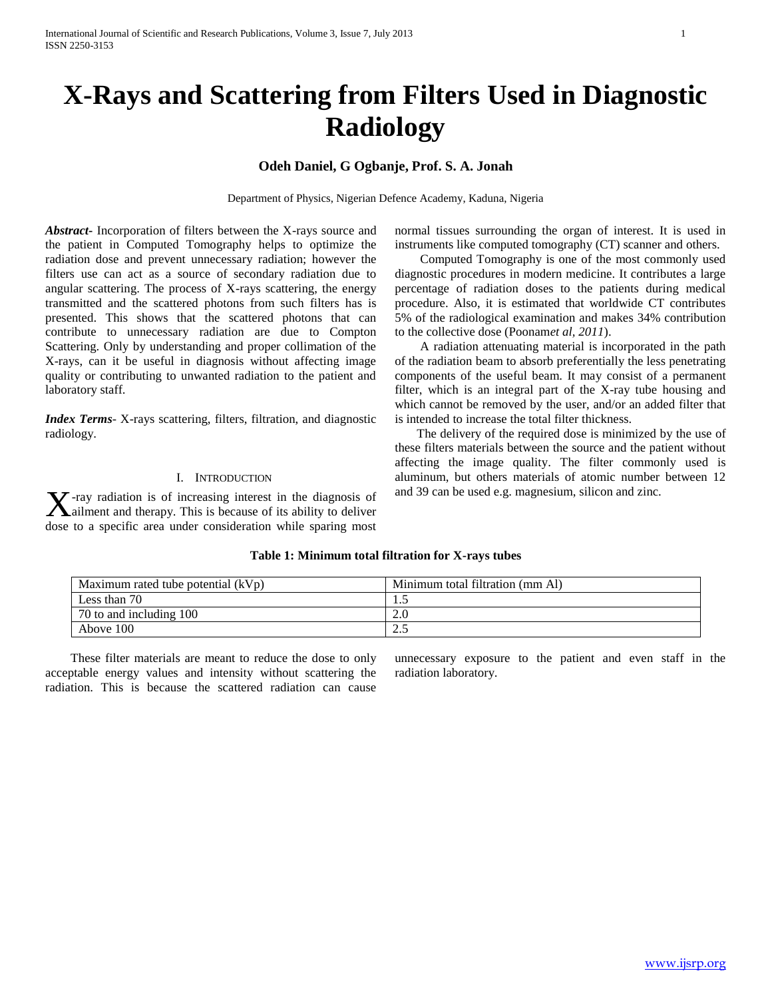# **X-Rays and Scattering from Filters Used in Diagnostic Radiology**

# **Odeh Daniel, G Ogbanje, Prof. S. A. Jonah**

Department of Physics, Nigerian Defence Academy, Kaduna, Nigeria

*Abstract***-** Incorporation of filters between the X-rays source and the patient in Computed Tomography helps to optimize the radiation dose and prevent unnecessary radiation; however the filters use can act as a source of secondary radiation due to angular scattering. The process of X-rays scattering, the energy transmitted and the scattered photons from such filters has is presented. This shows that the scattered photons that can contribute to unnecessary radiation are due to Compton Scattering. Only by understanding and proper collimation of the X-rays, can it be useful in diagnosis without affecting image quality or contributing to unwanted radiation to the patient and laboratory staff.

*Index Terms-* X-rays scattering, filters, filtration, and diagnostic radiology.

# I. INTRODUCTION

-ray radiation is of increasing interest in the diagnosis of **X**-ray radiation is of increasing interest in the diagnosis of allment and therapy. This is because of its ability to deliver dose to a specific area under consideration while sparing most

normal tissues surrounding the organ of interest. It is used in instruments like computed tomography (CT) scanner and others.

 Computed Tomography is one of the most commonly used diagnostic procedures in modern medicine. It contributes a large percentage of radiation doses to the patients during medical procedure. Also, it is estimated that worldwide CT contributes 5% of the radiological examination and makes 34% contribution to the collective dose (Poonam*et al, 2011*).

 A radiation attenuating material is incorporated in the path of the radiation beam to absorb preferentially the less penetrating components of the useful beam. It may consist of a permanent filter, which is an integral part of the X-ray tube housing and which cannot be removed by the user, and/or an added filter that is intended to increase the total filter thickness.

 The delivery of the required dose is minimized by the use of these filters materials between the source and the patient without affecting the image quality. The filter commonly used is aluminum, but others materials of atomic number between 12 and 39 can be used e.g. magnesium, silicon and zinc.

| Maximum rated tube potential (kVp) | Minimum total filtration (mm Al) |
|------------------------------------|----------------------------------|
| Less than 70                       |                                  |
| 70 to and including 100            |                                  |
| Above 100                          | ∠…                               |

# **Table 1: Minimum total filtration for X-rays tubes**

 These filter materials are meant to reduce the dose to only acceptable energy values and intensity without scattering the radiation. This is because the scattered radiation can cause

unnecessary exposure to the patient and even staff in the radiation laboratory.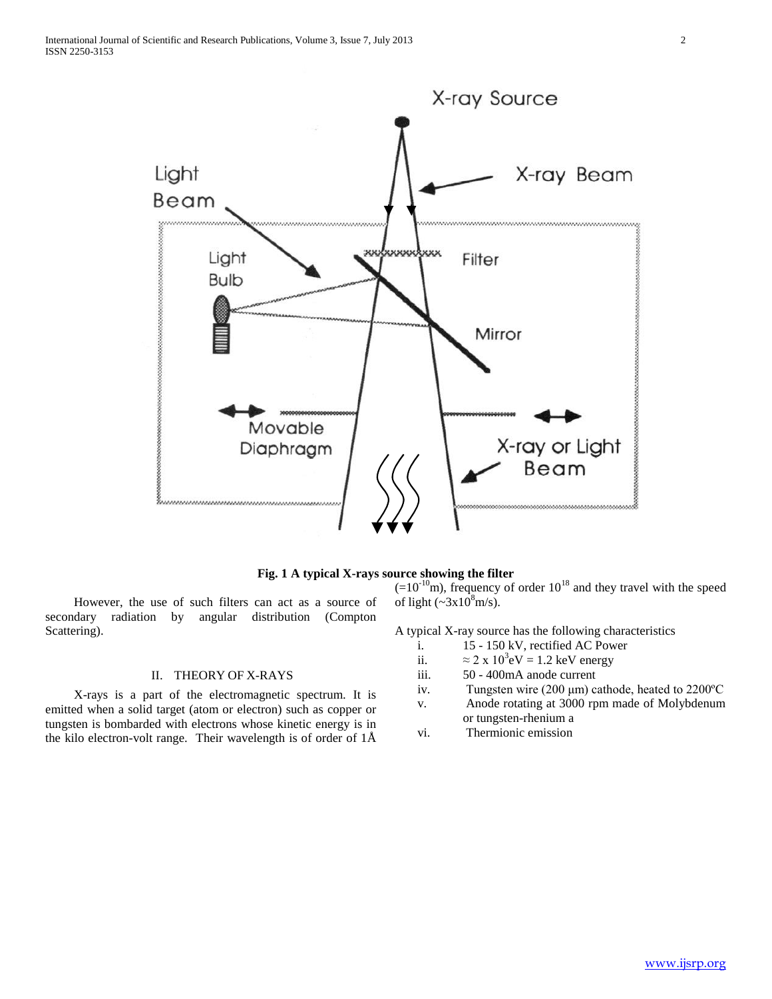



 However, the use of such filters can act as a source of secondary radiation by angular distribution (Compton Scattering).

# II. THEORY OF X-RAYS

 X-rays is a part of the electromagnetic spectrum. It is emitted when a solid target (atom or electron) such as copper or tungsten is bombarded with electrons whose kinetic energy is in the kilo electron-volt range. Their wavelength is of order of 1Å

 $(=10^{-10} \text{m})$ , frequency of order  $10^{18}$  and they travel with the speed of light  $(\sim 3x10^8 \text{m/s})$ .

A typical X-ray source has the following characteristics

- i. 15 150 kV, rectified AC Power
- ii.  $\approx 2 \times 10^3$ eV = 1.2 keV energy
- iii. 50 400mA anode current
- iv. Tungsten wire (200 μm) cathode, heated to 2200ºC
- v. Anode rotating at 3000 rpm made of Molybdenum or tungsten-rhenium a
- vi. Thermionic emission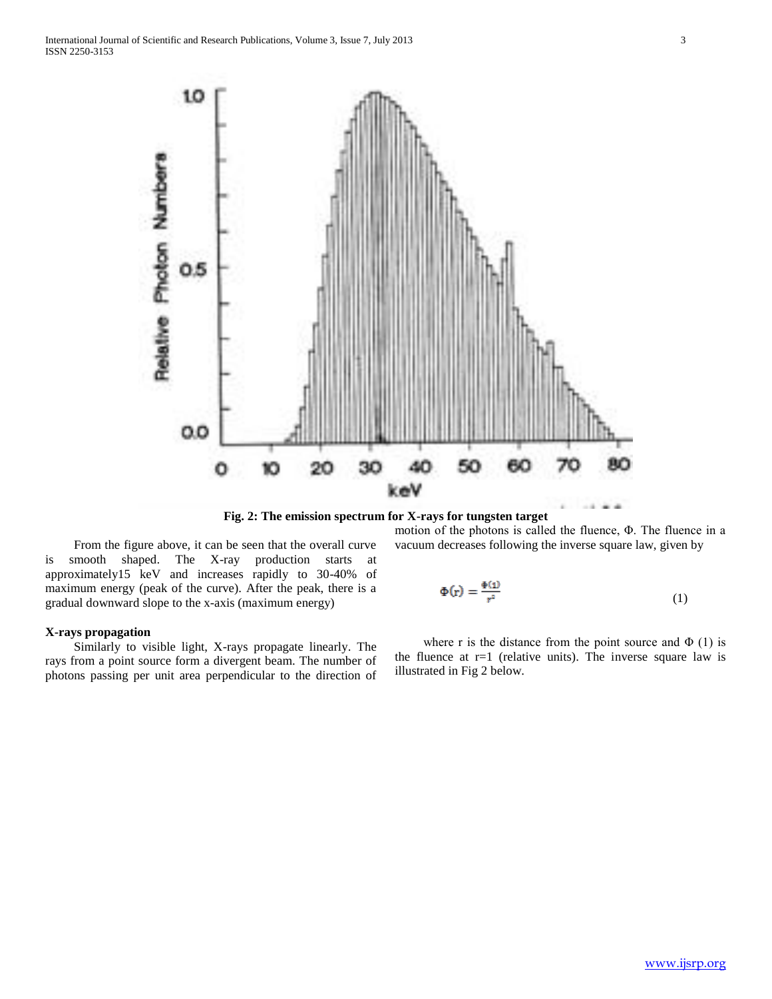

**Fig. 2: The emission spectrum for X-rays for tungsten target**

 From the figure above, it can be seen that the overall curve is smooth shaped. The X-ray production starts at approximately15 keV and increases rapidly to 30-40% of maximum energy (peak of the curve). After the peak, there is a gradual downward slope to the x-axis (maximum energy)

# **X-rays propagation**

 Similarly to visible light, X-rays propagate linearly. The rays from a point source form a divergent beam. The number of photons passing per unit area perpendicular to the direction of motion of the photons is called the fluence, Φ. The fluence in a vacuum decreases following the inverse square law, given by

$$
\Phi(\mathbf{r}) = \frac{\Phi(\mathbf{1})}{r^2} \tag{1}
$$

where r is the distance from the point source and  $\Phi$  (1) is the fluence at  $r=1$  (relative units). The inverse square law is illustrated in Fig 2 below.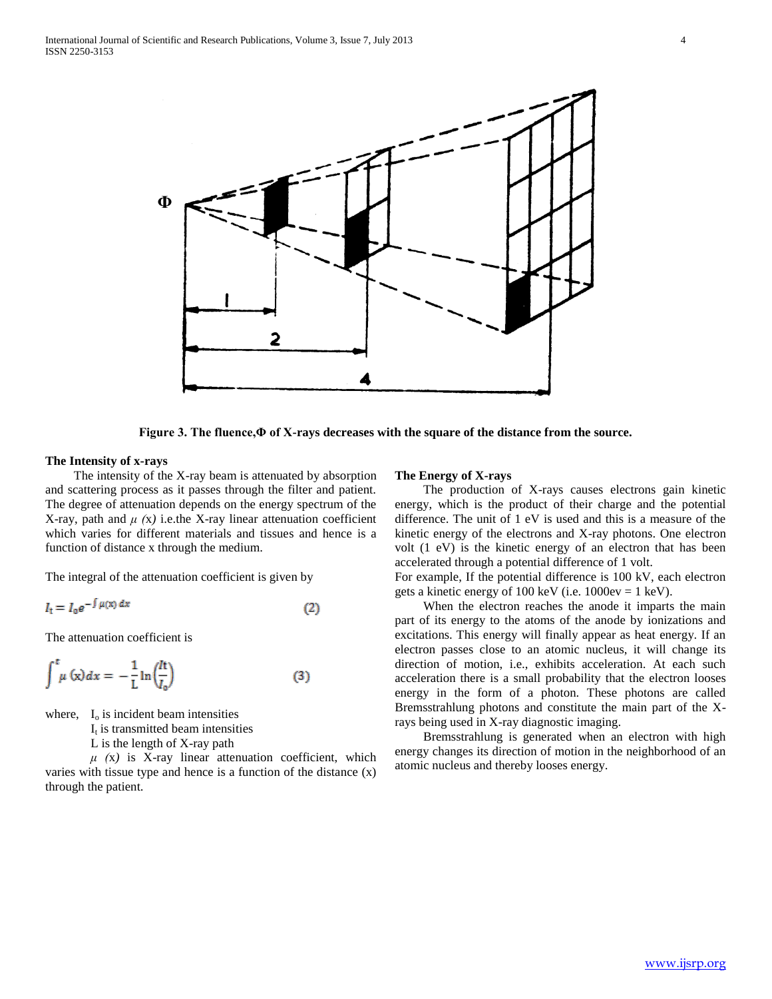

**Figure 3. The fluence,Φ of X-rays decreases with the square of the distance from the source.**

## **The Intensity of x-rays**

 The intensity of the X-ray beam is attenuated by absorption and scattering process as it passes through the filter and patient. The degree of attenuation depends on the energy spectrum of the X-ray, path and  $\mu$  (x) i.e.the X-ray linear attenuation coefficient which varies for different materials and tissues and hence is a function of distance x through the medium.

The integral of the attenuation coefficient is given by

$$
I_t = I_0 e^{-\int \mu(x) dx} \tag{2}
$$

The attenuation coefficient is

$$
\int_{-a}^{t} \mu(x) dx = -\frac{1}{L} \ln \left( \frac{h}{I_0} \right) \tag{3}
$$

where,  $I_0$  is incident beam intensities

 $I_t$  is transmitted beam intensities

L is the length of X-ray path

 $\mu$  (x) is X-ray linear attenuation coefficient, which varies with tissue type and hence is a function of the distance (x) through the patient.

### **The Energy of X-rays**

 The production of X-rays causes electrons gain kinetic energy, which is the product of their charge and the potential difference. The unit of 1 eV is used and this is a measure of the kinetic energy of the electrons and X-ray photons. One electron volt (1 eV) is the kinetic energy of an electron that has been accelerated through a potential difference of 1 volt.

For example, If the potential difference is 100 kV, each electron gets a kinetic energy of 100 keV (i.e.  $1000ev = 1$  keV).

 When the electron reaches the anode it imparts the main part of its energy to the atoms of the anode by ionizations and excitations. This energy will finally appear as heat energy. If an electron passes close to an atomic nucleus, it will change its direction of motion, i.e., exhibits acceleration. At each such acceleration there is a small probability that the electron looses energy in the form of a photon. These photons are called Bremsstrahlung photons and constitute the main part of the Xrays being used in X-ray diagnostic imaging.

 Bremsstrahlung is generated when an electron with high energy changes its direction of motion in the neighborhood of an atomic nucleus and thereby looses energy.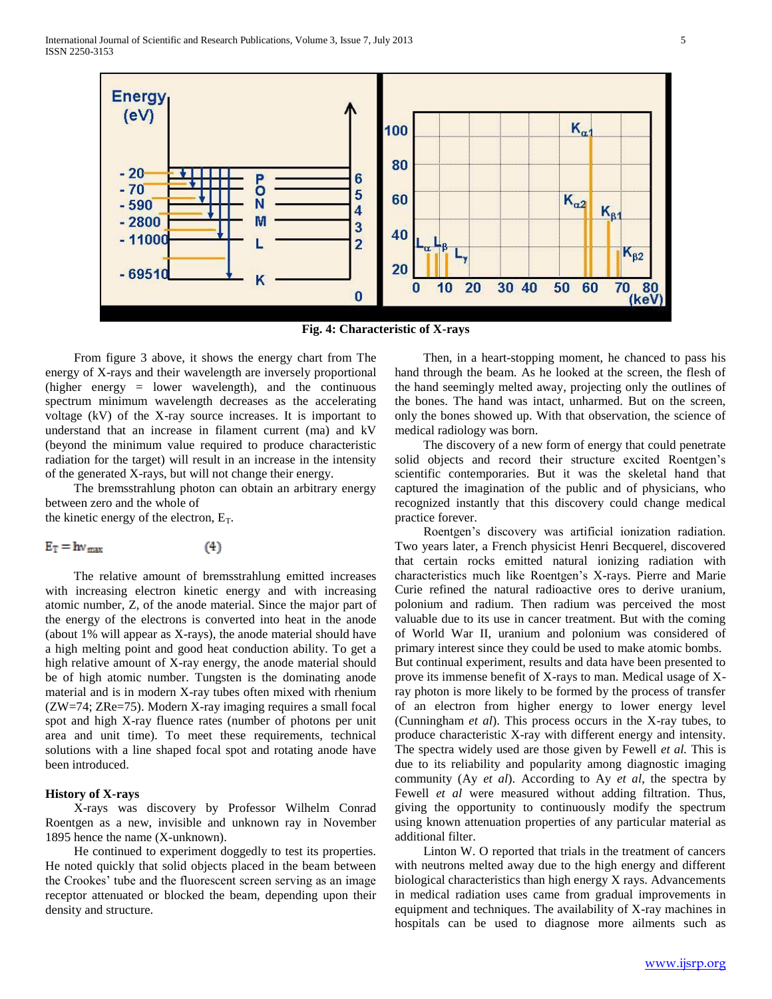

**Fig. 4: Characteristic of X-rays**

 From figure 3 above, it shows the energy chart from The energy of X-rays and their wavelength are inversely proportional (higher energy = lower wavelength), and the continuous spectrum minimum wavelength decreases as the accelerating voltage (kV) of the X-ray source increases. It is important to understand that an increase in filament current (ma) and kV (beyond the minimum value required to produce characteristic radiation for the target) will result in an increase in the intensity of the generated X-rays, but will not change their energy.

 The bremsstrahlung photon can obtain an arbitrary energy between zero and the whole of the kinetic energy of the electron,  $E_T$ .

$$
E_T = hv_{max} \tag{4}
$$

 The relative amount of bremsstrahlung emitted increases with increasing electron kinetic energy and with increasing atomic number, Z, of the anode material. Since the major part of the energy of the electrons is converted into heat in the anode (about 1% will appear as X-rays), the anode material should have a high melting point and good heat conduction ability. To get a high relative amount of X-ray energy, the anode material should be of high atomic number. Tungsten is the dominating anode material and is in modern X-ray tubes often mixed with rhenium (ZW=74; ZRe=75). Modern X-ray imaging requires a small focal spot and high X-ray fluence rates (number of photons per unit area and unit time). To meet these requirements, technical solutions with a line shaped focal spot and rotating anode have been introduced.

## **History of X-rays**

 X-rays was discovery by Professor Wilhelm Conrad Roentgen as a new, invisible and unknown ray in November 1895 hence the name (X-unknown).

 He continued to experiment doggedly to test its properties. He noted quickly that solid objects placed in the beam between the Crookes' tube and the fluorescent screen serving as an image receptor attenuated or blocked the beam, depending upon their density and structure.

 Then, in a heart-stopping moment, he chanced to pass his hand through the beam. As he looked at the screen, the flesh of the hand seemingly melted away, projecting only the outlines of the bones. The hand was intact, unharmed. But on the screen, only the bones showed up. With that observation, the science of medical radiology was born.

 The discovery of a new form of energy that could penetrate solid objects and record their structure excited Roentgen's scientific contemporaries. But it was the skeletal hand that captured the imagination of the public and of physicians, who recognized instantly that this discovery could change medical practice forever.

 Roentgen's discovery was artificial ionization radiation. Two years later, a French physicist Henri Becquerel, discovered that certain rocks emitted natural ionizing radiation with characteristics much like Roentgen's X-rays. Pierre and Marie Curie refined the natural radioactive ores to derive uranium, polonium and radium. Then radium was perceived the most valuable due to its use in cancer treatment. But with the coming of World War II, uranium and polonium was considered of primary interest since they could be used to make atomic bombs. But continual experiment, results and data have been presented to prove its immense benefit of X-rays to man. Medical usage of Xray photon is more likely to be formed by the process of transfer of an electron from higher energy to lower energy level (Cunningham *et al*). This process occurs in the X-ray tubes, to produce characteristic X-ray with different energy and intensity. The spectra widely used are those given by Fewell *et al.* This is due to its reliability and popularity among diagnostic imaging community (Ay *et al*). According to Ay *et al*, the spectra by Fewell *et al* were measured without adding filtration. Thus, giving the opportunity to continuously modify the spectrum using known attenuation properties of any particular material as additional filter.

 Linton W. O reported that trials in the treatment of cancers with neutrons melted away due to the high energy and different biological characteristics than high energy X rays. Advancements in medical radiation uses came from gradual improvements in equipment and techniques. The availability of X-ray machines in hospitals can be used to diagnose more ailments such as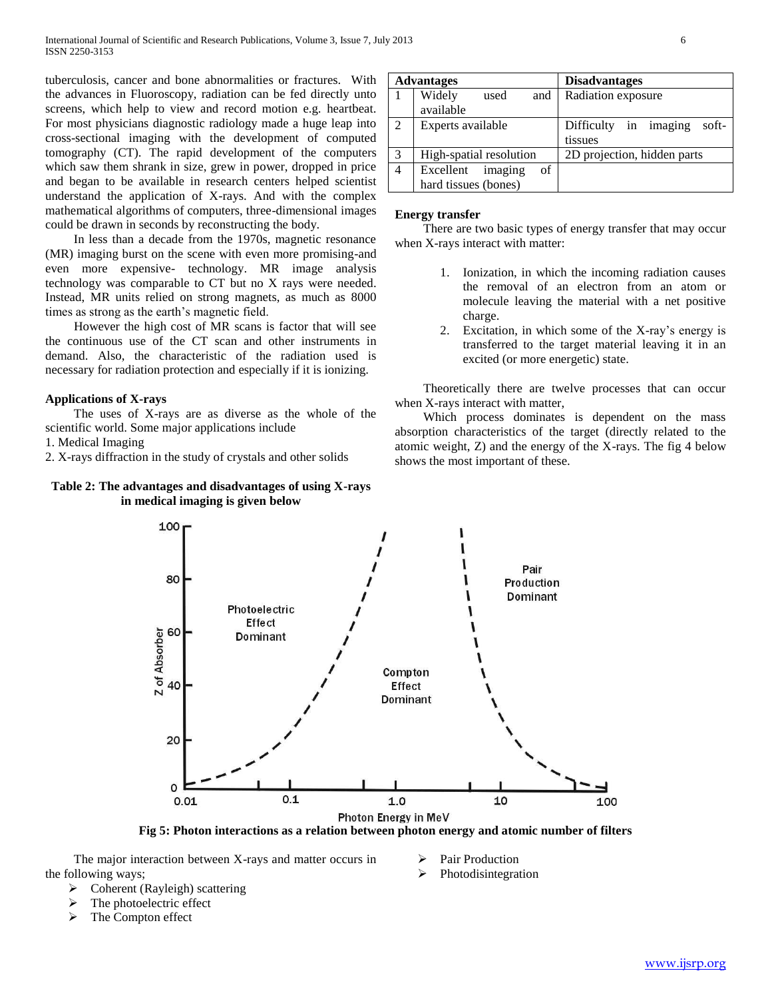tuberculosis, cancer and bone abnormalities or fractures. With the advances in Fluoroscopy, radiation can be fed directly unto screens, which help to view and record motion e.g. heartbeat. For most physicians diagnostic radiology made a huge leap into cross-sectional imaging with the development of computed tomography (CT). The rapid development of the computers which saw them shrank in size, grew in power, dropped in price and began to be available in research centers helped scientist understand the application of X-rays. And with the complex mathematical algorithms of computers, three-dimensional images could be drawn in seconds by reconstructing the body.

 In less than a decade from the 1970s, magnetic resonance (MR) imaging burst on the scene with even more promising-and even more expensive- technology. MR image analysis technology was comparable to CT but no X rays were needed. Instead, MR units relied on strong magnets, as much as 8000 times as strong as the earth's magnetic field.

 However the high cost of MR scans is factor that will see the continuous use of the CT scan and other instruments in demand. Also, the characteristic of the radiation used is necessary for radiation protection and especially if it is ionizing.

# **Applications of X-rays**

 The uses of X-rays are as diverse as the whole of the scientific world. Some major applications include

1. Medical Imaging

2. X-rays diffraction in the study of crystals and other solids

# **Table 2: The advantages and disadvantages of using X-rays in medical imaging is given below**

| <b>Advantages</b> |                            | <b>Disadvantages</b>           |
|-------------------|----------------------------|--------------------------------|
|                   | Widely<br>used<br>and      | Radiation exposure             |
|                   | available                  |                                |
| 2                 | Experts available          | Difficulty in imaging<br>soft- |
|                   |                            | tissues                        |
| 3                 | High-spatial resolution    | 2D projection, hidden parts    |
| $\overline{4}$    | imaging<br>Excellent<br>of |                                |
|                   | hard tissues (bones)       |                                |

## **Energy transfer**

 There are two basic types of energy transfer that may occur when X-rays interact with matter:

- 1. Ionization, in which the incoming radiation causes the removal of an electron from an atom or molecule leaving the material with a net positive charge.
- 2. Excitation, in which some of the X-ray's energy is transferred to the target material leaving it in an excited (or more energetic) state.

 Theoretically there are twelve processes that can occur when X-rays interact with matter,

 Which process dominates is dependent on the mass absorption characteristics of the target (directly related to the atomic weight, Z) and the energy of the X-rays. The fig 4 below shows the most important of these.



**Fig 5: Photon interactions as a relation between photon energy and atomic number of filters**

 The major interaction between X-rays and matter occurs in the following ways;

- Pair Production
- $\triangleright$  Photodisintegration

- $\triangleright$  Coherent (Rayleigh) scattering
- The photoelectric effect
- $\triangleright$  The Compton effect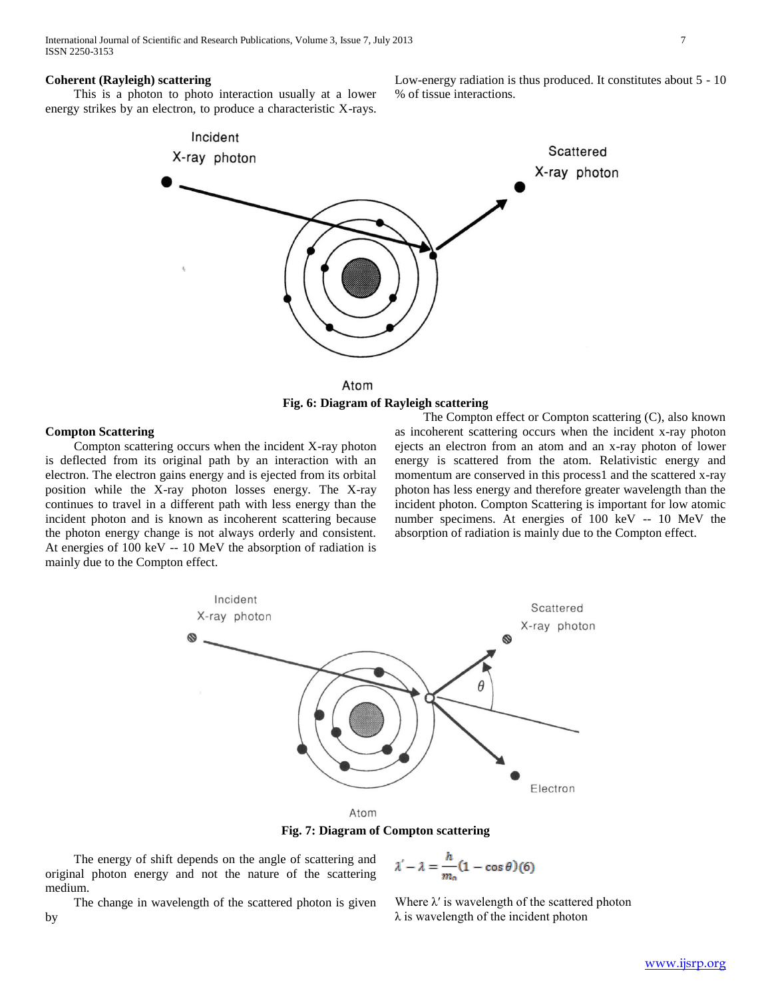### **Coherent (Rayleigh) scattering**

 This is a photon to photo interaction usually at a lower energy strikes by an electron, to produce a characteristic X-rays.

Low-energy radiation is thus produced. It constitutes about 5 - 10 % of tissue interactions.





## **Compton Scattering**

 Compton scattering occurs when the incident X-ray photon is deflected from its original path by an interaction with an electron. The electron gains energy and is ejected from its orbital position while the X-ray photon losses energy. The X-ray continues to travel in a different path with less energy than the incident photon and is known as incoherent scattering because the photon energy change is not always orderly and consistent. At energies of 100 keV -- 10 MeV the absorption of radiation is mainly due to the Compton effect.

 The Compton effect or Compton scattering (C), also known as incoherent scattering occurs when the incident x-ray photon ejects an electron from an atom and an x-ray photon of lower energy is scattered from the atom. Relativistic energy and momentum are conserved in this process1 and the scattered x-ray photon has less energy and therefore greater wavelength than the incident photon. Compton Scattering is important for low atomic number specimens. At energies of 100 keV -- 10 MeV the absorption of radiation is mainly due to the Compton effect.



**Fig. 7: Diagram of Compton scattering**

 The energy of shift depends on the angle of scattering and original photon energy and not the nature of the scattering medium.

 The change in wavelength of the scattered photon is given by

 $\lambda' - \lambda = \frac{h}{m_0}(1 - \cos \theta)(6)$ 

Where  $\lambda'$  is wavelength of the scattered photon λ is wavelength of the incident photon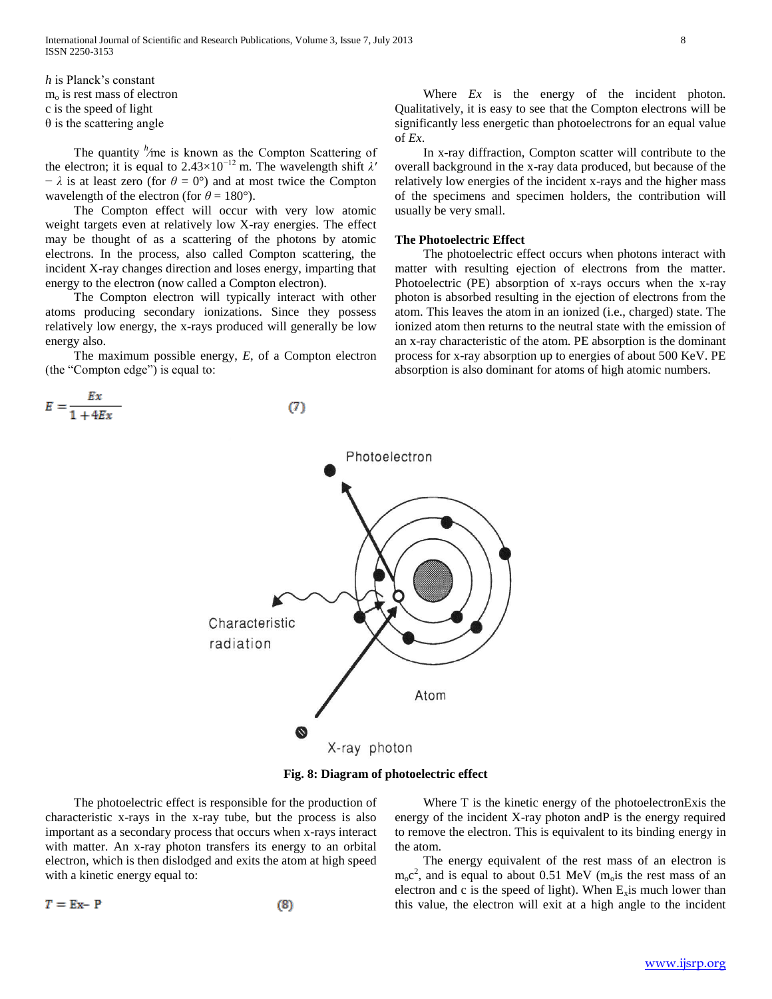*h* is Planck's constant  $m<sub>o</sub>$  is rest mass of electron c is the speed of light  $\theta$  is the scattering angle

The quantity <sup>*h*</sup>/me is known as the Compton Scattering of the electron; it is equal to  $2.43 \times 10^{-12}$  m. The wavelength shift  $\lambda'$  $-\lambda$  is at least zero (for  $\theta = 0^{\circ}$ ) and at most twice the Compton wavelength of the electron (for  $\theta = 180^{\circ}$ ).

 The Compton effect will occur with very low atomic weight targets even at relatively low X-ray energies. The effect may be thought of as a scattering of the photons by atomic electrons. In the process, also called Compton scattering, the incident X-ray changes direction and loses energy, imparting that energy to the electron (now called a Compton electron).

 The Compton electron will typically interact with other atoms producing secondary ionizations. Since they possess relatively low energy, the x-rays produced will generally be low energy also.

 The maximum possible energy, *E*, of a Compton electron (the "Compton edge") is equal to:

 $(7)$ 

$$
E = \frac{Ex}{1 + 4Ex}
$$

Where *Ex* is the energy of the incident photon. Qualitatively, it is easy to see that the Compton electrons will be significantly less energetic than photoelectrons for an equal value of *Ex*.

 In x-ray diffraction, Compton scatter will contribute to the overall background in the x-ray data produced, but because of the relatively low energies of the incident x-rays and the higher mass of the specimens and specimen holders, the contribution will usually be very small.

# **The Photoelectric Effect**

 The photoelectric effect occurs when photons interact with matter with resulting ejection of electrons from the matter. Photoelectric (PE) absorption of x-rays occurs when the x-ray photon is absorbed resulting in the ejection of electrons from the atom. This leaves the atom in an ionized (i.e., charged) state. The ionized atom then returns to the neutral state with the emission of an x-ray characteristic of the atom. PE absorption is the dominant process for x-ray absorption up to energies of about 500 KeV. PE absorption is also dominant for atoms of high atomic numbers.



**Fig. 8: Diagram of photoelectric effect**

 The photoelectric effect is responsible for the production of characteristic x-rays in the x-ray tube, but the process is also important as a secondary process that occurs when x-rays interact with matter. An x-ray photon transfers its energy to an orbital electron, which is then dislodged and exits the atom at high speed with a kinetic energy equal to:

$$
T = Ex - P \tag{8}
$$

 Where T is the kinetic energy of the photoelectronExis the energy of the incident X-ray photon andP is the energy required to remove the electron. This is equivalent to its binding energy in the atom.

 The energy equivalent of the rest mass of an electron is  $m_0c^2$ , and is equal to about 0.51 MeV (m<sub>o</sub>is the rest mass of an electron and c is the speed of light). When  $E_x$  is much lower than this value, the electron will exit at a high angle to the incident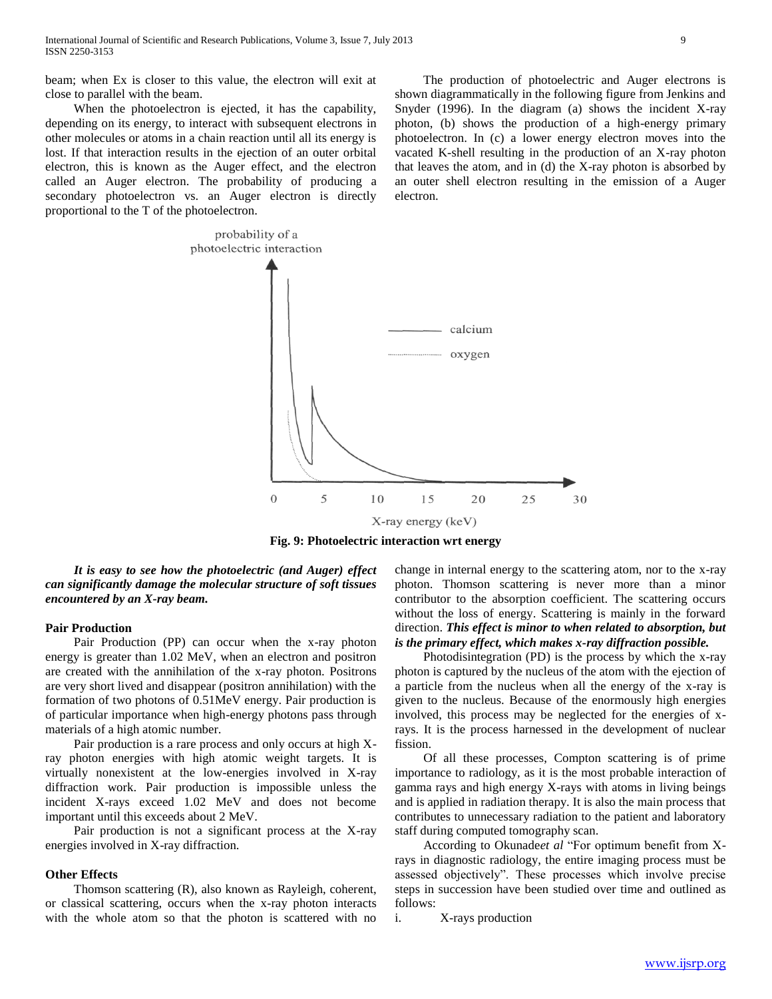beam; when Ex is closer to this value, the electron will exit at close to parallel with the beam.

 When the photoelectron is ejected, it has the capability, depending on its energy, to interact with subsequent electrons in other molecules or atoms in a chain reaction until all its energy is lost. If that interaction results in the ejection of an outer orbital electron, this is known as the Auger effect, and the electron called an Auger electron. The probability of producing a secondary photoelectron vs. an Auger electron is directly proportional to the T of the photoelectron.

 The production of photoelectric and Auger electrons is shown diagrammatically in the following figure from Jenkins and Snyder (1996). In the diagram (a) shows the incident X-ray photon, (b) shows the production of a high-energy primary photoelectron. In (c) a lower energy electron moves into the vacated K-shell resulting in the production of an X-ray photon that leaves the atom, and in (d) the X-ray photon is absorbed by an outer shell electron resulting in the emission of a Auger electron.



**Fig. 9: Photoelectric interaction wrt energy**

 *It is easy to see how the photoelectric (and Auger) effect can significantly damage the molecular structure of soft tissues encountered by an X-ray beam.*

## **Pair Production**

 Pair Production (PP) can occur when the x-ray photon energy is greater than 1.02 MeV, when an electron and positron are created with the annihilation of the x-ray photon. Positrons are very short lived and disappear (positron annihilation) with the formation of two photons of 0.51MeV energy. Pair production is of particular importance when high-energy photons pass through materials of a high atomic number.

 Pair production is a rare process and only occurs at high Xray photon energies with high atomic weight targets. It is virtually nonexistent at the low-energies involved in X-ray diffraction work. Pair production is impossible unless the incident X-rays exceed 1.02 MeV and does not become important until this exceeds about 2 MeV.

 Pair production is not a significant process at the X-ray energies involved in X-ray diffraction.

# **Other Effects**

 Thomson scattering (R), also known as Rayleigh, coherent, or classical scattering, occurs when the x-ray photon interacts with the whole atom so that the photon is scattered with no change in internal energy to the scattering atom, nor to the x-ray photon. Thomson scattering is never more than a minor contributor to the absorption coefficient. The scattering occurs without the loss of energy. Scattering is mainly in the forward direction. *This effect is minor to when related to absorption, but is the primary effect, which makes x-ray diffraction possible.* 

 Photodisintegration (PD) is the process by which the x-ray photon is captured by the nucleus of the atom with the ejection of a particle from the nucleus when all the energy of the x-ray is given to the nucleus. Because of the enormously high energies involved, this process may be neglected for the energies of xrays. It is the process harnessed in the development of nuclear fission.

 Of all these processes, Compton scattering is of prime importance to radiology, as it is the most probable interaction of gamma rays and high energy X-rays with atoms in living beings and is applied in radiation therapy. It is also the main process that contributes to unnecessary radiation to the patient and laboratory staff during computed tomography scan.

 According to Okunade*et al* "For optimum benefit from Xrays in diagnostic radiology, the entire imaging process must be assessed objectively". These processes which involve precise steps in succession have been studied over time and outlined as follows:

i. X-rays production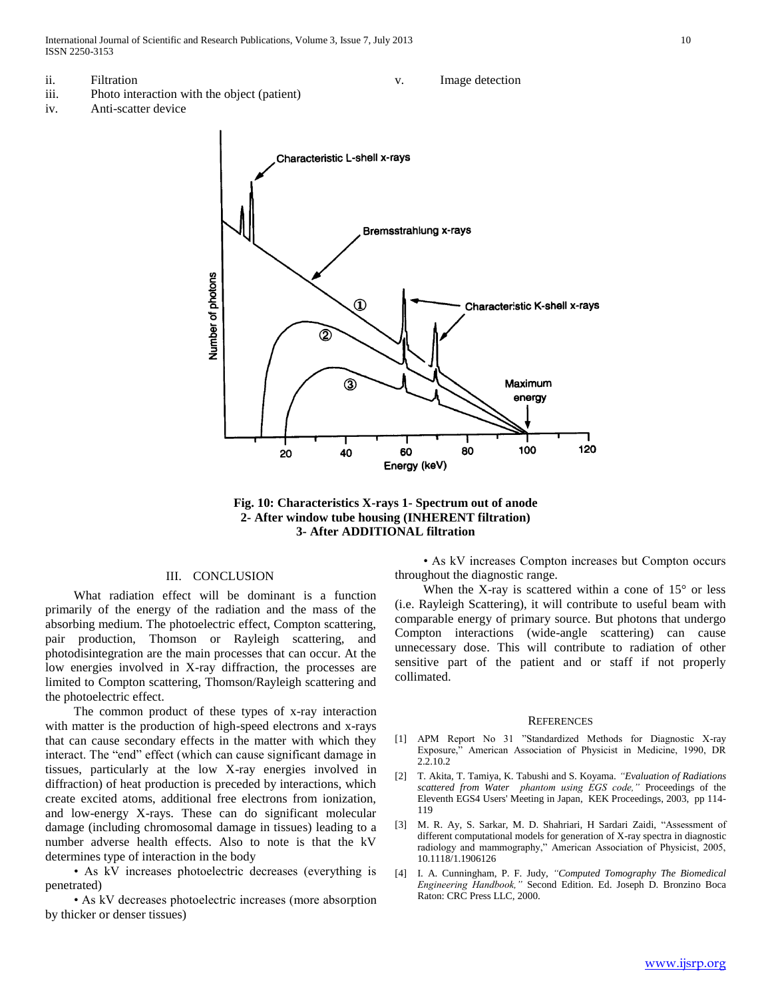International Journal of Scientific and Research Publications, Volume 3, Issue 7, July 2013 10 ISSN 2250-3153

- ii. Filtration
- iii. Photo interaction with the object (patient)
- iv. Anti-scatter device







# III. CONCLUSION

 What radiation effect will be dominant is a function primarily of the energy of the radiation and the mass of the absorbing medium. The photoelectric effect, Compton scattering, pair production, Thomson or Rayleigh scattering, and photodisintegration are the main processes that can occur. At the low energies involved in X-ray diffraction, the processes are limited to Compton scattering, Thomson/Rayleigh scattering and the photoelectric effect.

 The common product of these types of x-ray interaction with matter is the production of high-speed electrons and x-rays that can cause secondary effects in the matter with which they interact. The "end" effect (which can cause significant damage in tissues, particularly at the low X-ray energies involved in diffraction) of heat production is preceded by interactions, which create excited atoms, additional free electrons from ionization, and low-energy X-rays. These can do significant molecular damage (including chromosomal damage in tissues) leading to a number adverse health effects. Also to note is that the kV determines type of interaction in the body

 • As kV increases photoelectric decreases (everything is penetrated)

 • As kV decreases photoelectric increases (more absorption by thicker or denser tissues)

 • As kV increases Compton increases but Compton occurs throughout the diagnostic range.

When the X-ray is scattered within a cone of  $15^{\circ}$  or less (i.e. Rayleigh Scattering), it will contribute to useful beam with comparable energy of primary source. But photons that undergo Compton interactions (wide-angle scattering) can cause unnecessary dose. This will contribute to radiation of other sensitive part of the patient and or staff if not properly collimated.

#### **REFERENCES**

- [1] APM Report No 31 "Standardized Methods for Diagnostic X-ray Exposure," American Association of Physicist in Medicine, 1990, DR 2.2.10.2
- [2] T. Akita, T. Tamiya, K. Tabushi and S. Koyama. *"Evaluation of Radiations scattered from Water phantom using EGS code,"* Proceedings of the Eleventh EGS4 Users' Meeting in Japan, KEK Proceedings, 2003, pp 114- 119
- [3] M. R. Ay, S. Sarkar, M. D. Shahriari, H Sardari Zaidi, "Assessment of different computational models for generation of X-ray spectra in diagnostic radiology and mammography," American Association of Physicist, 2005, 10.1118/1.1906126
- [4] I. A. Cunningham, P. F. Judy, *"Computed Tomography The Biomedical Engineering Handbook,"* Second Edition. Ed. Joseph D. Bronzino Boca Raton: CRC Press LLC, 2000.